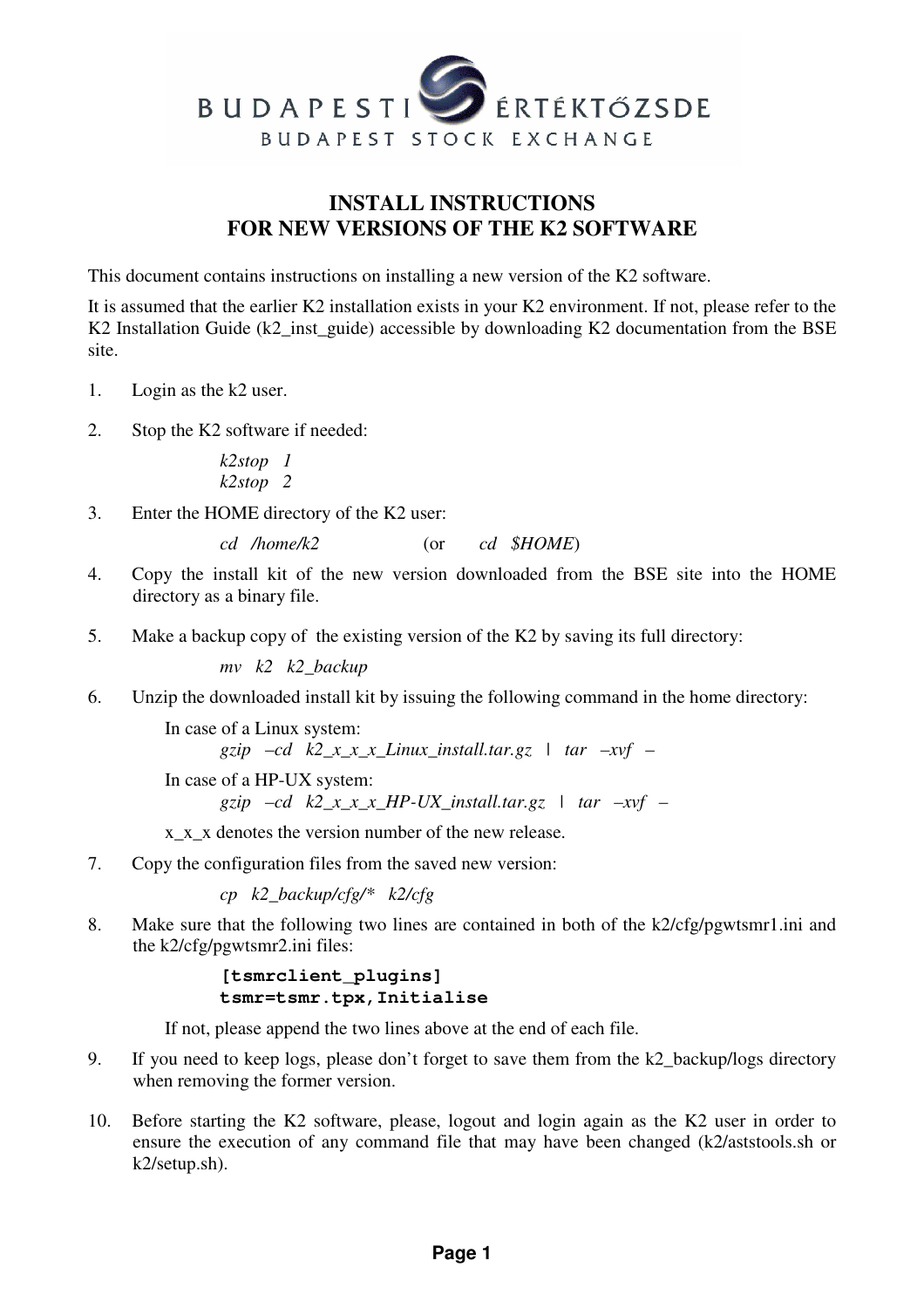

## **INSTALL INSTRUCTIONS FOR NEW VERSIONS OF THE K2 SOFTWARE**

This document contains instructions on installing a new version of the K2 software.

It is assumed that the earlier K2 installation exists in your K2 environment. If not, please refer to the K2 Installation Guide (k2\_inst\_guide) accessible by downloading K2 documentation from the BSE site.

- 1. Login as the k2 user.
- 2. Stop the K2 software if needed:

*k2stop 1 k2stop 2* 

3. Enter the HOME directory of the K2 user:

*cd /home/k2* (or *cd \$HOME*)

- 4. Copy the install kit of the new version downloaded from the BSE site into the HOME directory as a binary file.
- 5. Make a backup copy of the existing version of the K2 by saving its full directory:

*mv k2 k2\_backup* 

6. Unzip the downloaded install kit by issuing the following command in the home directory:

In case of a Linux system:

```
gzip -cd k2_x_x_x_L1inux_install. \n  <i>tar -xvf -</i>
```
In case of a HP-UX system:

*gzip –cd k2\_x\_x\_x\_HP-UX\_install.tar.gz | tar –xvf –* 

x\_x\_x denotes the version number of the new release.

7. Copy the configuration files from the saved new version:

*cp k2\_backup/cfg/\* k2/cfg* 

8. Make sure that the following two lines are contained in both of the k2/cfg/pgwtsmr1.ini and the k2/cfg/pgwtsmr2.ini files:

> **[tsmrclient\_plugins] tsmr=tsmr.tpx,Initialise**

If not, please append the two lines above at the end of each file.

- 9. If you need to keep logs, please don't forget to save them from the k2\_backup/logs directory when removing the former version.
- 10. Before starting the K2 software, please, logout and login again as the K2 user in order to ensure the execution of any command file that may have been changed (k2/aststools.sh or k2/setup.sh).